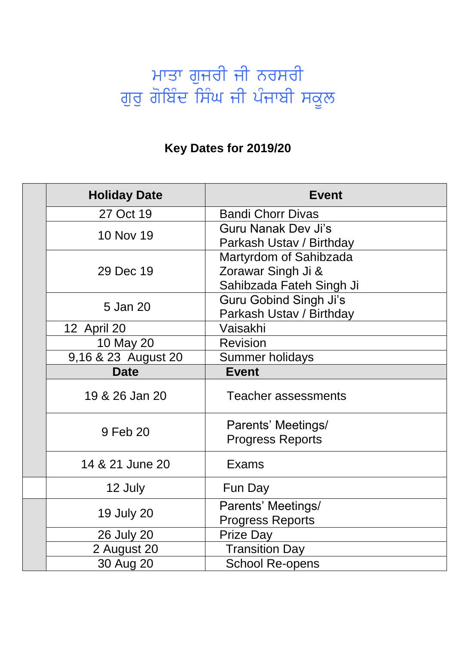## ਮਾਤਾ ਗੁਜਰੀ ਜੀ ਨਰਸਰੀ ਗੁਰੂ ਗੋਬਿੰਦ ਸਿੰਘ ਜੀ ਪੰਜਾਬੀ ਸਕੂਲ

## **Key Dates for 2019/20**

|  | <b>Holiday Date</b> | <b>Event</b>                                                             |
|--|---------------------|--------------------------------------------------------------------------|
|  | 27 Oct 19           | <b>Bandi Chorr Divas</b>                                                 |
|  | 10 Nov 19           | Guru Nanak Dev Ji's<br>Parkash Ustav / Birthday                          |
|  | 29 Dec 19           | Martyrdom of Sahibzada<br>Zorawar Singh Ji &<br>Sahibzada Fateh Singh Ji |
|  | 5 Jan 20            | <b>Guru Gobind Singh Ji's</b><br>Parkash Ustav / Birthday                |
|  | 12 April 20         | Vaisakhi                                                                 |
|  | 10 May 20           | <b>Revision</b>                                                          |
|  | 9,16 & 23 August 20 | <b>Summer holidays</b>                                                   |
|  | <b>Date</b>         | <b>Event</b>                                                             |
|  | 19 & 26 Jan 20      | <b>Teacher assessments</b>                                               |
|  | 9 Feb 20            | Parents' Meetings/<br><b>Progress Reports</b>                            |
|  | 14 & 21 June 20     | Exams                                                                    |
|  | 12 July             | Fun Day                                                                  |
|  | <b>19 July 20</b>   | Parents' Meetings/<br>Progress Reports                                   |
|  | 26 July 20          | <b>Prize Day</b>                                                         |
|  | 2 August 20         | <b>Transition Day</b>                                                    |
|  | 30 Aug 20           | <b>School Re-opens</b>                                                   |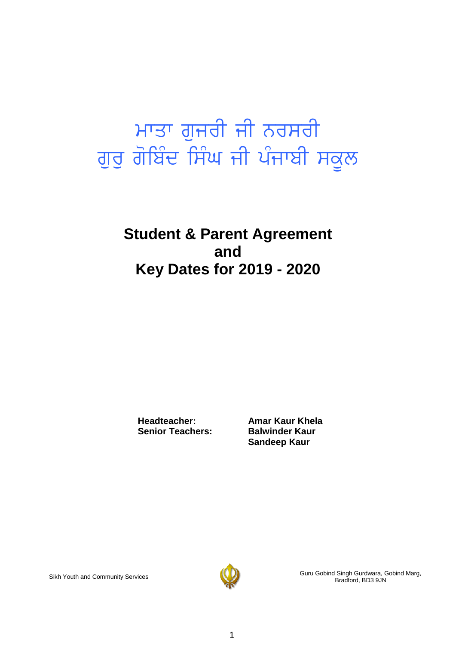# ਮਾਤਾ ਗੁਜਰੀ ਜੀ ਨਰਸਰੀ ਗੁਰੁ ਗੋਬਿੰਦ ਸਿੰਘ ਜੀ ਪੰਜਾਬੀ ਸਕੂਲ

## **Student & Parent Agreement and Key Dates for 2019 - 2020**

**Headteacher: Amar Kaur Khela Senior Teachers: Balwinder Kaur**

**Sandeep Kaur**



Sikh Youth and Community Services Guru Gobind Singh Guru Gobind Singh Gurdwara, Gobind Marg, Bradford, BD3 9JN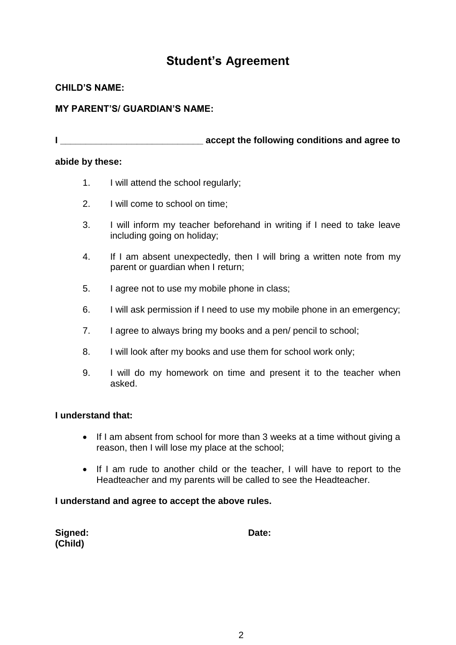### **Student's Agreement**

#### **CHILD'S NAME:**

#### **MY PARENT'S/ GUARDIAN'S NAME:**

**I I EXECUTE A LIGAN EXECUTE A LIGAN EXECUTE A LIGAN EXECUTE A LIGAN EXECUTE A LIGAN EXECUTE A LIGAN EXECUTE A LIGAN EXECUTE A LIGAN EXCHIPTION AND A LIGAN EXCHIPTION A LIGAN EXCHIPTION OF A LIGAN EXCHIPTION OF A LIGAN** 

#### **abide by these:**

- 1. I will attend the school regularly;
- 2. I will come to school on time;
- 3. I will inform my teacher beforehand in writing if I need to take leave including going on holiday;
- 4. If I am absent unexpectedly, then I will bring a written note from my parent or guardian when I return;
- 5. I agree not to use my mobile phone in class;
- 6. I will ask permission if I need to use my mobile phone in an emergency;
- 7. I agree to always bring my books and a pen/ pencil to school;
- 8. I will look after my books and use them for school work only;
- 9. I will do my homework on time and present it to the teacher when asked.

#### **I understand that:**

- If I am absent from school for more than 3 weeks at a time without giving a reason, then I will lose my place at the school;
- If I am rude to another child or the teacher, I will have to report to the Headteacher and my parents will be called to see the Headteacher.

#### **I understand and agree to accept the above rules.**

| Signed: | Date: |
|---------|-------|
| (Child) |       |